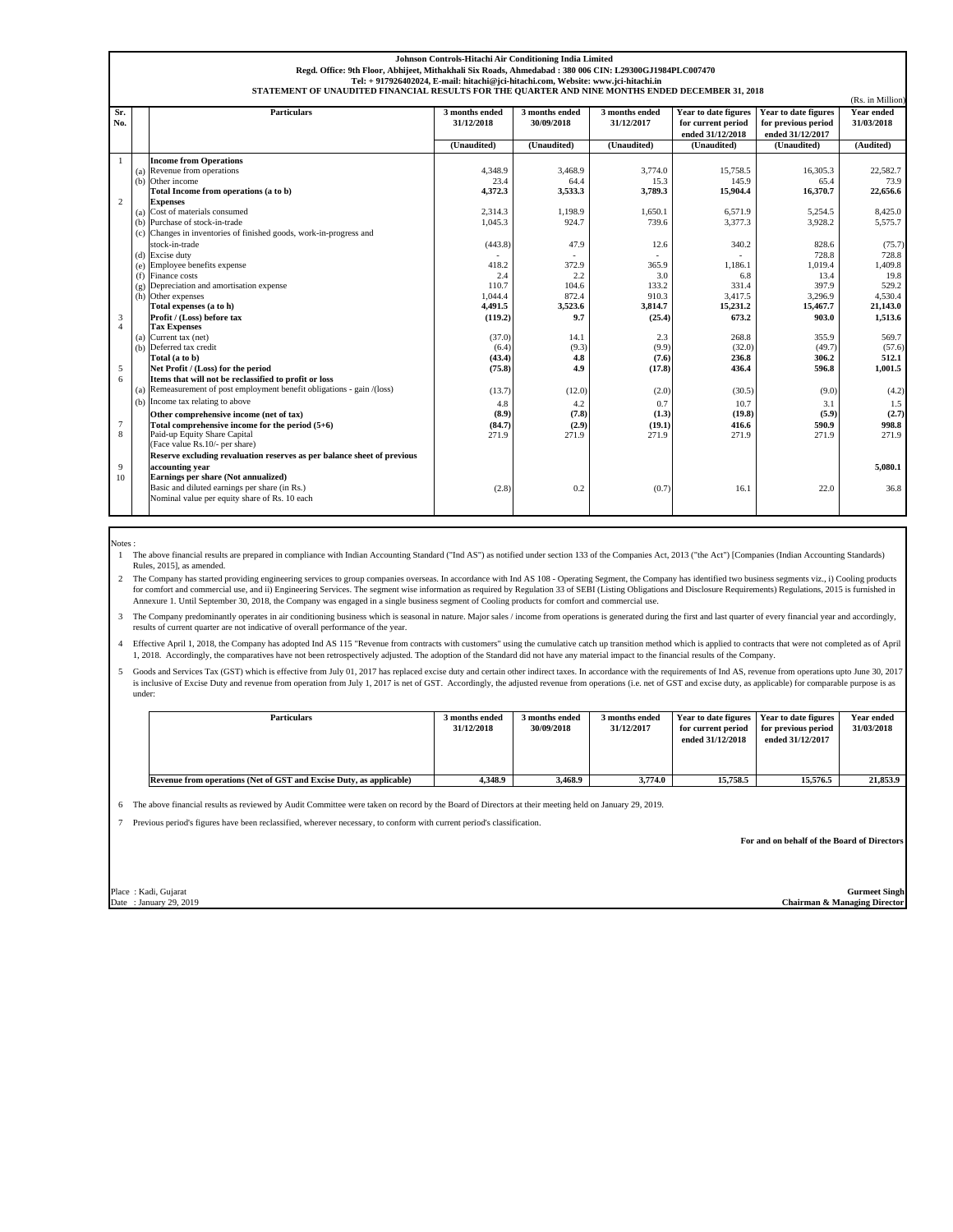| Johnson Controls-Hitachi Air Conditioning India Limited                                                                                                                               |                                                                                                        |                                                                         |                |                |                |                      |                      |            |  |  |  |
|---------------------------------------------------------------------------------------------------------------------------------------------------------------------------------------|--------------------------------------------------------------------------------------------------------|-------------------------------------------------------------------------|----------------|----------------|----------------|----------------------|----------------------|------------|--|--|--|
|                                                                                                                                                                                       | Regd. Office: 9th Floor, Abhijeet, Mithakhali Six Roads, Ahmedabad: 380 006 CIN: L29300GJ1984PLC007470 |                                                                         |                |                |                |                      |                      |            |  |  |  |
| Tel: + 917926402024, E-mail: hitachi@jci-hitachi.com, Website: www.jci-hitachi.in<br>STATEMENT OF UNAUDITED FINANCIAL RESULTS FOR THE QUARTER AND NINE MONTHS ENDED DECEMBER 31, 2018 |                                                                                                        |                                                                         |                |                |                |                      |                      |            |  |  |  |
|                                                                                                                                                                                       | (Rs. in Million)                                                                                       |                                                                         |                |                |                |                      |                      |            |  |  |  |
| Sr.                                                                                                                                                                                   |                                                                                                        | <b>Particulars</b>                                                      | 3 months ended | 3 months ended | 3 months ended | Year to date figures | Year to date figures | Year ended |  |  |  |
| No.                                                                                                                                                                                   |                                                                                                        |                                                                         | 31/12/2018     | 30/09/2018     | 31/12/2017     | for current period   | for previous period  | 31/03/2018 |  |  |  |
|                                                                                                                                                                                       |                                                                                                        |                                                                         |                |                |                | ended 31/12/2018     | ended 31/12/2017     |            |  |  |  |
|                                                                                                                                                                                       |                                                                                                        |                                                                         | (Unaudited)    | (Unaudited)    | (Unaudited)    | (Unaudited)          | (Unaudited)          | (Audited)  |  |  |  |
| $\mathbf{1}$                                                                                                                                                                          |                                                                                                        | <b>Income from Operations</b>                                           |                |                |                |                      |                      |            |  |  |  |
|                                                                                                                                                                                       |                                                                                                        | (a) Revenue from operations                                             | 4,348.9        | 3,468.9        | 3,774.0        | 15.758.5             | 16.305.3             | 22,582.7   |  |  |  |
|                                                                                                                                                                                       |                                                                                                        | (b) Other income                                                        | 23.4           | 64.4           | 15.3           | 145.9                | 65.4                 | 73.9       |  |  |  |
|                                                                                                                                                                                       |                                                                                                        | Total Income from operations (a to b)                                   | 4,372.3        | 3,533.3        | 3,789.3        | 15,904.4             | 16,370.7             | 22,656.6   |  |  |  |
| $\overline{2}$                                                                                                                                                                        |                                                                                                        | <b>Expenses</b>                                                         |                |                |                |                      |                      |            |  |  |  |
|                                                                                                                                                                                       |                                                                                                        | (a) Cost of materials consumed                                          | 2.314.3        | 1.198.9        | 1.650.1        | 6.571.9              | 5.254.5              | 8.425.0    |  |  |  |
|                                                                                                                                                                                       |                                                                                                        | (b) Purchase of stock-in-trade                                          | 1.045.3        | 924.7          | 739.6          | 3.377.3              | 3.928.2              | 5.575.7    |  |  |  |
|                                                                                                                                                                                       |                                                                                                        | (c) Changes in inventories of finished goods, work-in-progress and      |                |                |                |                      |                      |            |  |  |  |
|                                                                                                                                                                                       |                                                                                                        | stock-in-trade                                                          | (443.8)        | 47.9           | 12.6           | 340.2                | 828.6                | (75.7)     |  |  |  |
|                                                                                                                                                                                       |                                                                                                        | (d) Excise duty                                                         |                |                |                |                      | 728.8                | 728.8      |  |  |  |
|                                                                                                                                                                                       |                                                                                                        | (e) Employee benefits expense                                           | 418.2          | 372.9          | 365.9          | 1.186.1              | 1,019.4              | 1,409.8    |  |  |  |
|                                                                                                                                                                                       |                                                                                                        | (f) Finance costs                                                       | 2.4            | 2.2            | 3.0            | 6.8                  | 13.4                 | 19.8       |  |  |  |
|                                                                                                                                                                                       |                                                                                                        | (g) Depreciation and amortisation expense                               | 110.7          | 104.6          | 133.2          | 331.4                | 397.9                | 529.2      |  |  |  |
|                                                                                                                                                                                       |                                                                                                        | (h) Other expenses                                                      | 1,044.4        | 872.4          | 910.3          | 3,417.5              | 3,296.9              | 4,530.4    |  |  |  |
|                                                                                                                                                                                       |                                                                                                        | Total expenses (a to h)                                                 | 4,491.5        | 3,523.6        | 3,814.7        | 15,231.2             | 15,467.7             | 21.143.0   |  |  |  |
| 3<br>$\overline{4}$                                                                                                                                                                   |                                                                                                        | Profit / (Loss) before tax<br><b>Tax Expenses</b>                       | (119.2)        | 9.7            | (25.4)         | 673.2                | 903.0                | 1.513.6    |  |  |  |
|                                                                                                                                                                                       |                                                                                                        | $(a)$ Current tax (net)                                                 | (37.0)         | 14.1           | 2.3            | 268.8                | 355.9                | 569.7      |  |  |  |
|                                                                                                                                                                                       |                                                                                                        | (b) Deferred tax credit                                                 | (6.4)          | (9.3)          | (9.9)          | (32.0)               | (49.7)               | (57.6)     |  |  |  |
|                                                                                                                                                                                       |                                                                                                        | Total (a to b)                                                          | (43.4)         | 4.8            | (7.6)          | 236.8                | 306.2                | 512.1      |  |  |  |
| 5                                                                                                                                                                                     |                                                                                                        | Net Profit / (Loss) for the period                                      | (75.8)         | 4.9            | (17.8)         | 436.4                | 596.8                | 1.001.5    |  |  |  |
| 6                                                                                                                                                                                     |                                                                                                        | Items that will not be reclassified to profit or loss                   |                |                |                |                      |                      |            |  |  |  |
|                                                                                                                                                                                       |                                                                                                        | (a) Remeasurement of post employment benefit obligations - gain /(loss) | (13.7)         | (12.0)         | (2.0)          | (30.5)               | (9.0)                | (4.2)      |  |  |  |
|                                                                                                                                                                                       |                                                                                                        | (b) Income tax relating to above                                        | 4.8            | 4.2            | 0.7            | 10.7                 | 3.1                  | 1.5        |  |  |  |
|                                                                                                                                                                                       |                                                                                                        | Other comprehensive income (net of tax)                                 | (8.9)          | (7.8)          | (1.3)          | (19.8)               | (5.9)                | (2.7)      |  |  |  |
| $\overline{7}$                                                                                                                                                                        |                                                                                                        | Total comprehensive income for the period $(5+6)$                       | (84.7)         | (2.9)          | (19.1)         | 416.6                | 590.9                | 998.8      |  |  |  |
| 8                                                                                                                                                                                     |                                                                                                        | Paid-up Equity Share Capital                                            | 271.9          | 271.9          | 271.9          | 271.9                | 271.9                | 271.9      |  |  |  |
|                                                                                                                                                                                       |                                                                                                        | (Face value Rs. 10/- per share)                                         |                |                |                |                      |                      |            |  |  |  |
|                                                                                                                                                                                       |                                                                                                        | Reserve excluding revaluation reserves as per balance sheet of previous |                |                |                |                      |                      |            |  |  |  |
| 9                                                                                                                                                                                     |                                                                                                        | accounting year                                                         |                |                |                |                      |                      | 5.080.1    |  |  |  |
| 10                                                                                                                                                                                    |                                                                                                        | Earnings per share (Not annualized)                                     |                |                |                |                      |                      |            |  |  |  |
|                                                                                                                                                                                       |                                                                                                        | Basic and diluted earnings per share (in Rs.)                           | (2.8)          | 0.2            | (0.7)          | 16.1                 | 22.0                 | 36.8       |  |  |  |
|                                                                                                                                                                                       |                                                                                                        | Nominal value per equity share of Rs. 10 each                           |                |                |                |                      |                      |            |  |  |  |
|                                                                                                                                                                                       |                                                                                                        |                                                                         |                |                |                |                      |                      |            |  |  |  |

Notes :

1 The above financial results are prepared in compliance with Indian Accounting Standard ("Ind AS") as notified under section 133 of the Companies Act, 2013 ("the Act") [Companies (Indian Accounting Standards) Rules, 2015], as amended.

The Company has started providing engineering services to group companies overseas. In accordance with Ind AS 108 - Operating Segment, the Company has identified two business segments viz., i) Cooling products for comfort Annexure 1. Until September 30, 2018, the Company was engaged in a single business segment of Cooling products for comfort and commercial use.

3 The Company predominantly operates in air conditioning business which is seasonal in nature. Major sales / income from operations is generated during the first and last quarter of every financial year and accordingly, results of current quarter are not indicative of overall performance of the year.

4 Effective April 1, 2018, the Company has adopted Ind AS 115 "Revenue from contracts with customers" using the cumulative catch up transition method which is applied to contracts that were not completed as of April 1, 2018. Accordingly, the comparatives have not been retrospectively adjusted. The adoption of the Standard did not have any material impact to the financial results of the Company.

5 Goods and Services Tax (GST) which is effective from July 01, 2017 has replaced excise duty and certain other indirect taxes. In accordance with the requirements of Ind AS, revenue from operations upto June 30, 2017<br>is i under:

| <b>Particulars</b>                                                  | 3 months ended<br>31/12/2018 | 3 months ended<br>30/09/2018 | 3 months ended<br>31/12/2017 | Year to date figures   Year to date figures<br>for current period<br>ended 31/12/2018 | for previous period<br>ended 31/12/2017 | Year ended<br>31/03/2018 |
|---------------------------------------------------------------------|------------------------------|------------------------------|------------------------------|---------------------------------------------------------------------------------------|-----------------------------------------|--------------------------|
| Revenue from operations (Net of GST and Excise Duty, as applicable) | 4.348.9                      | 3.468.9                      | 3.774.0                      | 15,758.5                                                                              | 15.576.5                                | 21.853.9                 |

6 The above financial results as reviewed by Audit Committee were taken on record by the Board of Directors at their meeting held on January 29, 2019.

7 Previous period's figures have been reclassified, wherever necessary, to conform with current period's classification.

**For and on behalf of the Board of Directors**

Date : January 29, 2019 **Chairman & Managing Director** 

Place : Kadi, Gujarat **Gurmeet Singh Gurmeet Singh Gurmeet Singh**